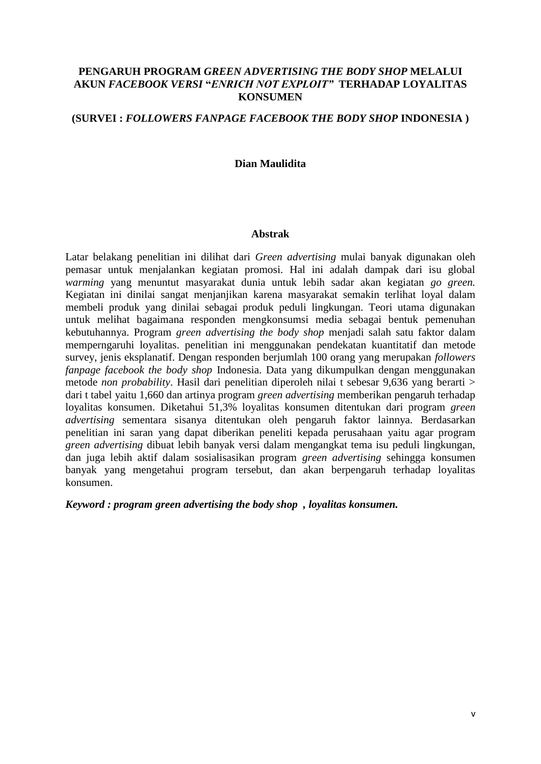# **PENGARUH PROGRAM** *GREEN ADVERTISING THE BODY SHOP* **MELALUI AKUN** *FACEBOOK VERSI* **"***ENRICH NOT EXPLOIT"* **TERHADAP LOYALITAS KONSUMEN**

# **(SURVEI :** *FOLLOWERS FANPAGE FACEBOOK THE BODY SHOP* **INDONESIA )**

#### **Dian Maulidita**

#### **Abstrak**

Latar belakang penelitian ini dilihat dari *Green advertising* mulai banyak digunakan oleh pemasar untuk menjalankan kegiatan promosi. Hal ini adalah dampak dari isu global *warming* yang menuntut masyarakat dunia untuk lebih sadar akan kegiatan *go green.* Kegiatan ini dinilai sangat menjanjikan karena masyarakat semakin terlihat loyal dalam membeli produk yang dinilai sebagai produk peduli lingkungan. Teori utama digunakan untuk melihat bagaimana responden mengkonsumsi media sebagai bentuk pemenuhan kebutuhannya. Program *green advertising the body shop* menjadi salah satu faktor dalam memperngaruhi loyalitas. penelitian ini menggunakan pendekatan kuantitatif dan metode survey, jenis eksplanatif. Dengan responden berjumlah 100 orang yang merupakan *followers fanpage facebook the body shop* Indonesia. Data yang dikumpulkan dengan menggunakan metode *non probability*. Hasil dari penelitian diperoleh nilai t sebesar 9,636 yang berarti > dari t tabel yaitu 1,660 dan artinya program *green advertising* memberikan pengaruh terhadap loyalitas konsumen. Diketahui 51,3% loyalitas konsumen ditentukan dari program *green advertising* sementara sisanya ditentukan oleh pengaruh faktor lainnya. Berdasarkan penelitian ini saran yang dapat diberikan peneliti kepada perusahaan yaitu agar program *green advertising* dibuat lebih banyak versi dalam mengangkat tema isu peduli lingkungan, dan juga lebih aktif dalam sosialisasikan program *green advertising* sehingga konsumen banyak yang mengetahui program tersebut, dan akan berpengaruh terhadap loyalitas konsumen.

*Keyword : program green advertising the body shop , loyalitas konsumen.*